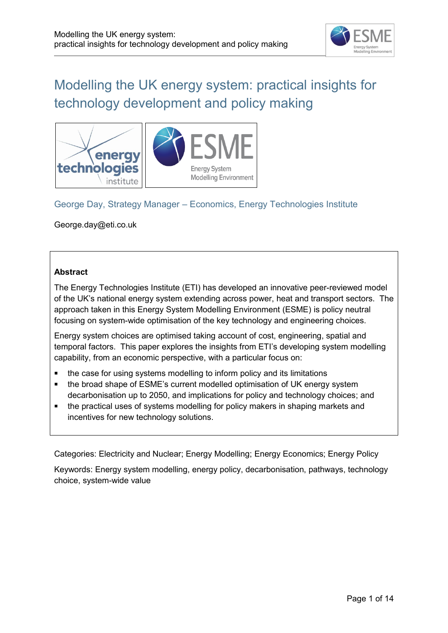

# Modelling the UK energy system: practical insights for technology development and policy making



### George Day, Strategy Manager – Economics, Energy Technologies Institute

George.day@eti.co.uk

### **Abstract**

The Energy Technologies Institute (ETI) has developed an innovative peer-reviewed model of the UK's national energy system extending across power, heat and transport sectors. The approach taken in this Energy System Modelling Environment (ESME) is policy neutral focusing on system-wide optimisation of the key technology and engineering choices.

Energy system choices are optimised taking account of cost, engineering, spatial and temporal factors. This paper explores the insights from ETI's developing system modelling capability, from an economic perspective, with a particular focus on:

- the case for using systems modelling to inform policy and its limitations
- the broad shape of ESME's current modelled optimisation of UK energy system decarbonisation up to 2050, and implications for policy and technology choices; and
- the practical uses of systems modelling for policy makers in shaping markets and incentives for new technology solutions.

Categories: Electricity and Nuclear; Energy Modelling; Energy Economics; Energy Policy

Keywords: Energy system modelling, energy policy, decarbonisation, pathways, technology choice, system-wide value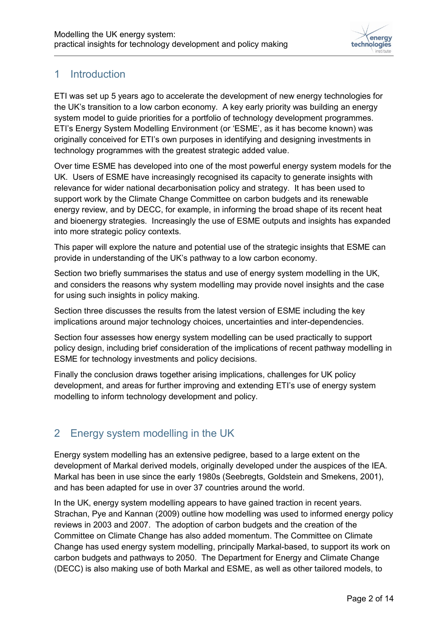

## 1 Introduction

ETI was set up 5 years ago to accelerate the development of new energy technologies for the UK's transition to a low carbon economy. A key early priority was building an energy system model to guide priorities for a portfolio of technology development programmes. ETI's Energy System Modelling Environment (or 'ESME', as it has become known) was originally conceived for ETI's own purposes in identifying and designing investments in technology programmes with the greatest strategic added value.

Over time ESME has developed into one of the most powerful energy system models for the UK. Users of ESME have increasingly recognised its capacity to generate insights with relevance for wider national decarbonisation policy and strategy. It has been used to support work by the Climate Change Committee on carbon budgets and its renewable energy review, and by DECC, for example, in informing the broad shape of its recent heat and bioenergy strategies. Increasingly the use of ESME outputs and insights has expanded into more strategic policy contexts.

This paper will explore the nature and potential use of the strategic insights that ESME can provide in understanding of the UK's pathway to a low carbon economy.

Section two briefly summarises the status and use of energy system modelling in the UK, and considers the reasons why system modelling may provide novel insights and the case for using such insights in policy making.

Section three discusses the results from the latest version of ESME including the key implications around major technology choices, uncertainties and inter-dependencies.

Section four assesses how energy system modelling can be used practically to support policy design, including brief consideration of the implications of recent pathway modelling in ESME for technology investments and policy decisions.

Finally the conclusion draws together arising implications, challenges for UK policy development, and areas for further improving and extending ETI's use of energy system modelling to inform technology development and policy.

## 2 Energy system modelling in the UK

Energy system modelling has an extensive pedigree, based to a large extent on the development of Markal derived models, originally developed under the auspices of the IEA. Markal has been in use since the early 1980s (Seebregts, Goldstein and Smekens, 2001), and has been adapted for use in over 37 countries around the world.

In the UK, energy system modelling appears to have gained traction in recent years. Strachan, Pye and Kannan (2009) outline how modelling was used to informed energy policy reviews in 2003 and 2007. The adoption of carbon budgets and the creation of the Committee on Climate Change has also added momentum. The Committee on Climate Change has used energy system modelling, principally Markal-based, to support its work on carbon budgets and pathways to 2050. The Department for Energy and Climate Change (DECC) is also making use of both Markal and ESME, as well as other tailored models, to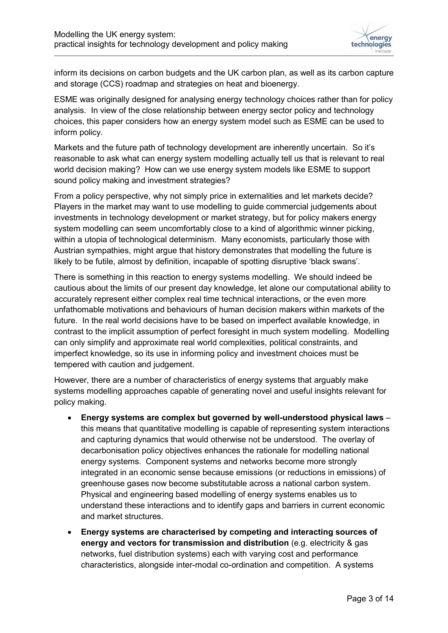

inform its decisions on carbon budgets and the UK carbon plan, as well as its carbon capture and storage (CCS) roadmap and strategies on heat and bioenergy.

ESME was originally designed for analysing energy technology choices rather than for policy analysis. In view of the close relationship between energy sector policy and technology choices, this paper considers how an energy system model such as ESME can be used to inform policy.

Markets and the future path of technology development are inherently uncertain. So it's reasonable to ask what can energy system modelling actually tell us that is relevant to real world decision making? How can we use energy system models like ESME to support sound policy making and investment strategies?

From a policy perspective, why not simply price in externalities and let markets decide? Players in the market may want to use modelling to guide commercial judgements about investments in technology development or market strategy, but for policy makers energy system modelling can seem uncomfortably close to a kind of algorithmic winner picking, within a utopia of technological determinism. Many economists, particularly those with Austrian sympathies, might argue that history demonstrates that modelling the future is likely to be futile, almost by definition, incapable of spotting disruptive 'black swans'.

There is something in this reaction to energy systems modelling. We should indeed be cautious about the limits of our present day knowledge, let alone our computational ability to accurately represent either complex real time technical interactions, or the even more unfathomable motivations and behaviours of human decision makers within markets of the future. In the real world decisions have to be based on imperfect available knowledge, in contrast to the implicit assumption of perfect foresight in much system modelling. Modelling can only simplify and approximate real world complexities, political constraints, and imperfect knowledge, so its use in informing policy and investment choices must be tempered with caution and judgement.

However, there are a number of characteristics of energy systems that arguably make systems modelling approaches capable of generating novel and useful insights relevant for policy making.

- **Energy systems are complex but governed by well-understood physical laws** this means that quantitative modelling is capable of representing system interactions and capturing dynamics that would otherwise not be understood. The overlay of decarbonisation policy objectives enhances the rationale for modelling national energy systems. Component systems and networks become more strongly integrated in an economic sense because emissions (or reductions in emissions) of greenhouse gases now become substitutable across a national carbon system. Physical and engineering based modelling of energy systems enables us to understand these interactions and to identify gaps and barriers in current economic and market structures.
- **Energy systems are characterised by competing and interacting sources of energy and vectors for transmission and distribution** (e.g. electricity & gas networks, fuel distribution systems) each with varying cost and performance characteristics, alongside inter-modal co-ordination and competition. A systems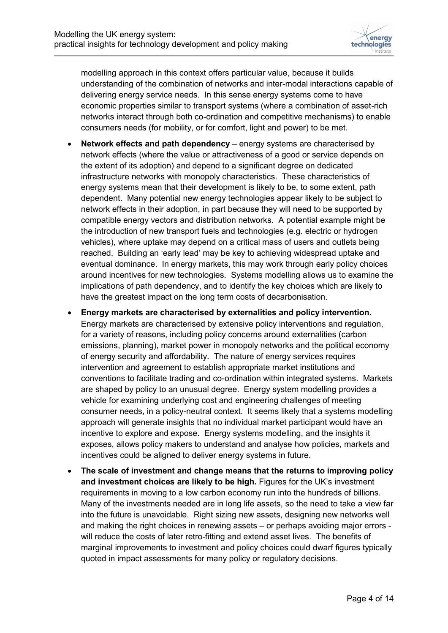

modelling approach in this context offers particular value, because it builds understanding of the combination of networks and inter-modal interactions capable of delivering energy service needs. In this sense energy systems come to have economic properties similar to transport systems (where a combination of asset-rich networks interact through both co-ordination and competitive mechanisms) to enable consumers needs (for mobility, or for comfort, light and power) to be met.

- **Network effects and path dependency** energy systems are characterised by network effects (where the value or attractiveness of a good or service depends on the extent of its adoption) and depend to a significant degree on dedicated infrastructure networks with monopoly characteristics. These characteristics of energy systems mean that their development is likely to be, to some extent, path dependent. Many potential new energy technologies appear likely to be subject to network effects in their adoption, in part because they will need to be supported by compatible energy vectors and distribution networks. A potential example might be the introduction of new transport fuels and technologies (e.g. electric or hydrogen vehicles), where uptake may depend on a critical mass of users and outlets being reached. Building an 'early lead' may be key to achieving widespread uptake and eventual dominance. In energy markets, this may work through early policy choices around incentives for new technologies. Systems modelling allows us to examine the implications of path dependency, and to identify the key choices which are likely to have the greatest impact on the long term costs of decarbonisation.
- **Energy markets are characterised by externalities and policy intervention.**  Energy markets are characterised by extensive policy interventions and regulation, for a variety of reasons, including policy concerns around externalities (carbon emissions, planning), market power in monopoly networks and the political economy of energy security and affordability. The nature of energy services requires intervention and agreement to establish appropriate market institutions and conventions to facilitate trading and co-ordination within integrated systems. Markets are shaped by policy to an unusual degree. Energy system modelling provides a vehicle for examining underlying cost and engineering challenges of meeting consumer needs, in a policy-neutral context. It seems likely that a systems modelling approach will generate insights that no individual market participant would have an incentive to explore and expose. Energy systems modelling, and the insights it exposes, allows policy makers to understand and analyse how policies, markets and incentives could be aligned to deliver energy systems in future.
- **The scale of investment and change means that the returns to improving policy and investment choices are likely to be high.** Figures for the UK's investment requirements in moving to a low carbon economy run into the hundreds of billions. Many of the investments needed are in long life assets, so the need to take a view far into the future is unavoidable. Right sizing new assets, designing new networks well and making the right choices in renewing assets – or perhaps avoiding major errors will reduce the costs of later retro-fitting and extend asset lives. The benefits of marginal improvements to investment and policy choices could dwarf figures typically quoted in impact assessments for many policy or regulatory decisions.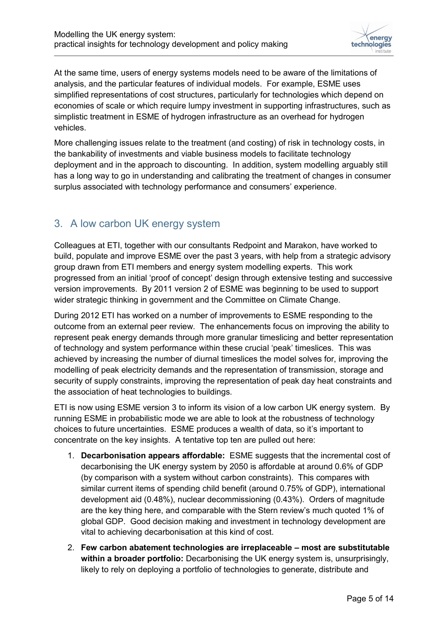

At the same time, users of energy systems models need to be aware of the limitations of analysis, and the particular features of individual models. For example, ESME uses simplified representations of cost structures, particularly for technologies which depend on economies of scale or which require lumpy investment in supporting infrastructures, such as simplistic treatment in ESME of hydrogen infrastructure as an overhead for hydrogen vehicles.

More challenging issues relate to the treatment (and costing) of risk in technology costs, in the bankability of investments and viable business models to facilitate technology deployment and in the approach to discounting. In addition, system modelling arguably still has a long way to go in understanding and calibrating the treatment of changes in consumer surplus associated with technology performance and consumers' experience.

### 3. A low carbon UK energy system

Colleagues at ETI, together with our consultants Redpoint and Marakon, have worked to build, populate and improve ESME over the past 3 years, with help from a strategic advisory group drawn from ETI members and energy system modelling experts. This work progressed from an initial 'proof of concept' design through extensive testing and successive version improvements. By 2011 version 2 of ESME was beginning to be used to support wider strategic thinking in government and the Committee on Climate Change.

During 2012 ETI has worked on a number of improvements to ESME responding to the outcome from an external peer review. The enhancements focus on improving the ability to represent peak energy demands through more granular timeslicing and better representation of technology and system performance within these crucial 'peak' timeslices. This was achieved by increasing the number of diurnal timeslices the model solves for, improving the modelling of peak electricity demands and the representation of transmission, storage and security of supply constraints, improving the representation of peak day heat constraints and the association of heat technologies to buildings.

ETI is now using ESME version 3 to inform its vision of a low carbon UK energy system. By running ESME in probabilistic mode we are able to look at the robustness of technology choices to future uncertainties. ESME produces a wealth of data, so it's important to concentrate on the key insights. A tentative top ten are pulled out here:

- 1. **Decarbonisation appears affordable:** ESME suggests that the incremental cost of decarbonising the UK energy system by 2050 is affordable at around 0.6% of GDP (by comparison with a system without carbon constraints). This compares with similar current items of spending child benefit (around 0.75% of GDP), international development aid (0.48%), nuclear decommissioning (0.43%). Orders of magnitude are the key thing here, and comparable with the Stern review's much quoted 1% of global GDP. Good decision making and investment in technology development are vital to achieving decarbonisation at this kind of cost.
- 2. **Few carbon abatement technologies are irreplaceable – most are substitutable within a broader portfolio:** Decarbonising the UK energy system is, unsurprisingly, likely to rely on deploying a portfolio of technologies to generate, distribute and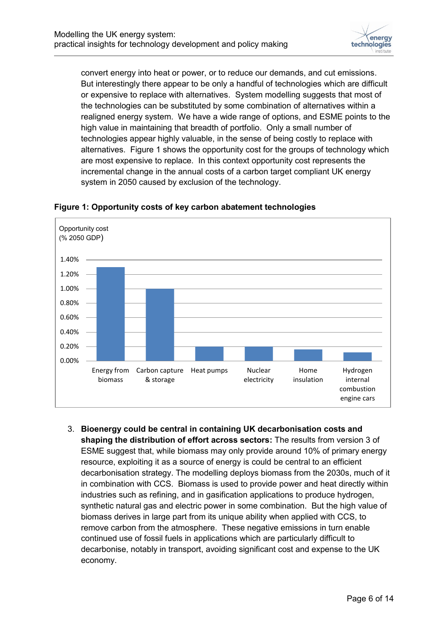

convert energy into heat or power, or to reduce our demands, and cut emissions. But interestingly there appear to be only a handful of technologies which are difficult or expensive to replace with alternatives. System modelling suggests that most of the technologies can be substituted by some combination of alternatives within a realigned energy system. We have a wide range of options, and ESME points to the high value in maintaining that breadth of portfolio. Only a small number of technologies appear highly valuable, in the sense of being costly to replace with alternatives. Figure 1 shows the opportunity cost for the groups of technology which are most expensive to replace. In this context opportunity cost represents the incremental change in the annual costs of a carbon target compliant UK energy system in 2050 caused by exclusion of the technology.



#### **Figure 1: Opportunity costs of key carbon abatement technologies**

3. **Bioenergy could be central in containing UK decarbonisation costs and shaping the distribution of effort across sectors:** The results from version 3 of ESME suggest that, while biomass may only provide around 10% of primary energy resource, exploiting it as a source of energy is could be central to an efficient decarbonisation strategy. The modelling deploys biomass from the 2030s, much of it in combination with CCS. Biomass is used to provide power and heat directly within industries such as refining, and in gasification applications to produce hydrogen, synthetic natural gas and electric power in some combination. But the high value of biomass derives in large part from its unique ability when applied with CCS, to remove carbon from the atmosphere. These negative emissions in turn enable continued use of fossil fuels in applications which are particularly difficult to decarbonise, notably in transport, avoiding significant cost and expense to the UK economy.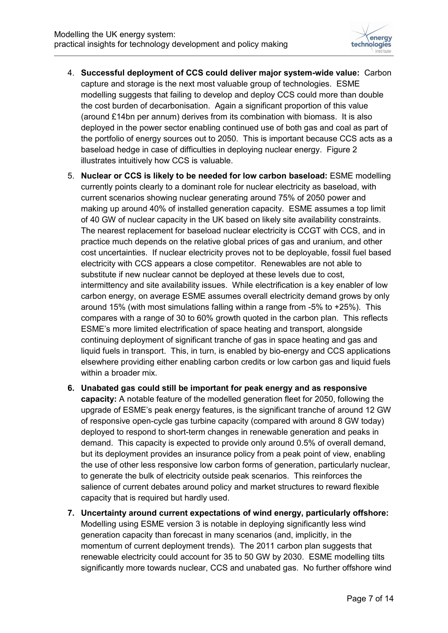

- 4. **Successful deployment of CCS could deliver major system-wide value:** Carbon capture and storage is the next most valuable group of technologies. ESME modelling suggests that failing to develop and deploy CCS could more than double the cost burden of decarbonisation. Again a significant proportion of this value (around £14bn per annum) derives from its combination with biomass. It is also deployed in the power sector enabling continued use of both gas and coal as part of the portfolio of energy sources out to 2050. This is important because CCS acts as a baseload hedge in case of difficulties in deploying nuclear energy. Figure 2 illustrates intuitively how CCS is valuable.
- 5. **Nuclear or CCS is likely to be needed for low carbon baseload:** ESME modelling currently points clearly to a dominant role for nuclear electricity as baseload, with current scenarios showing nuclear generating around 75% of 2050 power and making up around 40% of installed generation capacity. ESME assumes a top limit of 40 GW of nuclear capacity in the UK based on likely site availability constraints. The nearest replacement for baseload nuclear electricity is CCGT with CCS, and in practice much depends on the relative global prices of gas and uranium, and other cost uncertainties. If nuclear electricity proves not to be deployable, fossil fuel based electricity with CCS appears a close competitor. Renewables are not able to substitute if new nuclear cannot be deployed at these levels due to cost, intermittency and site availability issues. While electrification is a key enabler of low carbon energy, on average ESME assumes overall electricity demand grows by only around 15% (with most simulations falling within a range from -5% to +25%). This compares with a range of 30 to 60% growth quoted in the carbon plan. This reflects ESME's more limited electrification of space heating and transport, alongside continuing deployment of significant tranche of gas in space heating and gas and liquid fuels in transport. This, in turn, is enabled by bio-energy and CCS applications elsewhere providing either enabling carbon credits or low carbon gas and liquid fuels within a broader mix.
- **6. Unabated gas could still be important for peak energy and as responsive capacity:** A notable feature of the modelled generation fleet for 2050, following the upgrade of ESME's peak energy features, is the significant tranche of around 12 GW of responsive open-cycle gas turbine capacity (compared with around 8 GW today) deployed to respond to short-term changes in renewable generation and peaks in demand. This capacity is expected to provide only around 0.5% of overall demand, but its deployment provides an insurance policy from a peak point of view, enabling the use of other less responsive low carbon forms of generation, particularly nuclear, to generate the bulk of electricity outside peak scenarios. This reinforces the salience of current debates around policy and market structures to reward flexible capacity that is required but hardly used.
- **7. Uncertainty around current expectations of wind energy, particularly offshore:** Modelling using ESME version 3 is notable in deploying significantly less wind generation capacity than forecast in many scenarios (and, implicitly, in the momentum of current deployment trends). The 2011 carbon plan suggests that renewable electricity could account for 35 to 50 GW by 2030. ESME modelling tilts significantly more towards nuclear, CCS and unabated gas. No further offshore wind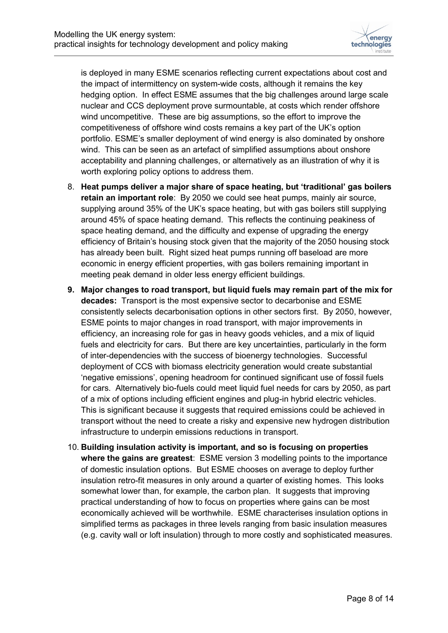

is deployed in many ESME scenarios reflecting current expectations about cost and the impact of intermittency on system-wide costs, although it remains the key hedging option. In effect ESME assumes that the big challenges around large scale nuclear and CCS deployment prove surmountable, at costs which render offshore wind uncompetitive. These are big assumptions, so the effort to improve the competitiveness of offshore wind costs remains a key part of the UK's option portfolio. ESME's smaller deployment of wind energy is also dominated by onshore wind. This can be seen as an artefact of simplified assumptions about onshore acceptability and planning challenges, or alternatively as an illustration of why it is worth exploring policy options to address them.

- 8. **Heat pumps deliver a major share of space heating, but 'traditional' gas boilers retain an important role**: By 2050 we could see heat pumps, mainly air source, supplying around 35% of the UK's space heating, but with gas boilers still supplying around 45% of space heating demand. This reflects the continuing peakiness of space heating demand, and the difficulty and expense of upgrading the energy efficiency of Britain's housing stock given that the majority of the 2050 housing stock has already been built. Right sized heat pumps running off baseload are more economic in energy efficient properties, with gas boilers remaining important in meeting peak demand in older less energy efficient buildings.
- **9. Major changes to road transport, but liquid fuels may remain part of the mix for decades:** Transport is the most expensive sector to decarbonise and ESME consistently selects decarbonisation options in other sectors first. By 2050, however, ESME points to major changes in road transport, with major improvements in efficiency, an increasing role for gas in heavy goods vehicles, and a mix of liquid fuels and electricity for cars. But there are key uncertainties, particularly in the form of inter-dependencies with the success of bioenergy technologies. Successful deployment of CCS with biomass electricity generation would create substantial 'negative emissions', opening headroom for continued significant use of fossil fuels for cars. Alternatively bio-fuels could meet liquid fuel needs for cars by 2050, as part of a mix of options including efficient engines and plug-in hybrid electric vehicles. This is significant because it suggests that required emissions could be achieved in transport without the need to create a risky and expensive new hydrogen distribution infrastructure to underpin emissions reductions in transport.
- 10. **Building insulation activity is important, and so is focusing on properties where the gains are greatest**: ESME version 3 modelling points to the importance of domestic insulation options. But ESME chooses on average to deploy further insulation retro-fit measures in only around a quarter of existing homes. This looks somewhat lower than, for example, the carbon plan. It suggests that improving practical understanding of how to focus on properties where gains can be most economically achieved will be worthwhile. ESME characterises insulation options in simplified terms as packages in three levels ranging from basic insulation measures (e.g. cavity wall or loft insulation) through to more costly and sophisticated measures.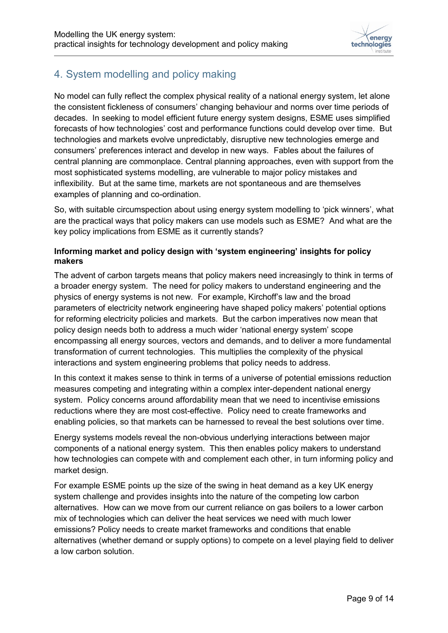

# 4. System modelling and policy making

No model can fully reflect the complex physical reality of a national energy system, let alone the consistent fickleness of consumers' changing behaviour and norms over time periods of decades. In seeking to model efficient future energy system designs, ESME uses simplified forecasts of how technologies' cost and performance functions could develop over time. But technologies and markets evolve unpredictably, disruptive new technologies emerge and consumers' preferences interact and develop in new ways. Fables about the failures of central planning are commonplace. Central planning approaches, even with support from the most sophisticated systems modelling, are vulnerable to major policy mistakes and inflexibility. But at the same time, markets are not spontaneous and are themselves examples of planning and co-ordination.

So, with suitable circumspection about using energy system modelling to 'pick winners', what are the practical ways that policy makers can use models such as ESME? And what are the key policy implications from ESME as it currently stands?

#### **Informing market and policy design with 'system engineering' insights for policy makers**

The advent of carbon targets means that policy makers need increasingly to think in terms of a broader energy system. The need for policy makers to understand engineering and the physics of energy systems is not new. For example, Kirchoff's law and the broad parameters of electricity network engineering have shaped policy makers' potential options for reforming electricity policies and markets. But the carbon imperatives now mean that policy design needs both to address a much wider 'national energy system' scope encompassing all energy sources, vectors and demands, and to deliver a more fundamental transformation of current technologies. This multiplies the complexity of the physical interactions and system engineering problems that policy needs to address.

In this context it makes sense to think in terms of a universe of potential emissions reduction measures competing and integrating within a complex inter-dependent national energy system. Policy concerns around affordability mean that we need to incentivise emissions reductions where they are most cost-effective. Policy need to create frameworks and enabling policies, so that markets can be harnessed to reveal the best solutions over time.

Energy systems models reveal the non-obvious underlying interactions between major components of a national energy system. This then enables policy makers to understand how technologies can compete with and complement each other, in turn informing policy and market design.

For example ESME points up the size of the swing in heat demand as a key UK energy system challenge and provides insights into the nature of the competing low carbon alternatives. How can we move from our current reliance on gas boilers to a lower carbon mix of technologies which can deliver the heat services we need with much lower emissions? Policy needs to create market frameworks and conditions that enable alternatives (whether demand or supply options) to compete on a level playing field to deliver a low carbon solution.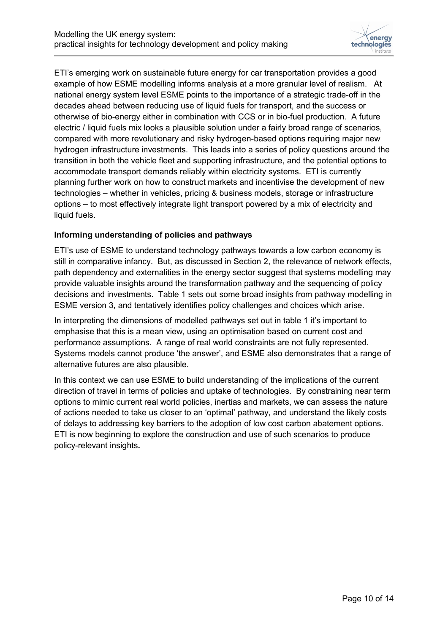

ETI's emerging work on sustainable future energy for car transportation provides a good example of how ESME modelling informs analysis at a more granular level of realism. At national energy system level ESME points to the importance of a strategic trade-off in the decades ahead between reducing use of liquid fuels for transport, and the success or otherwise of bio-energy either in combination with CCS or in bio-fuel production. A future electric / liquid fuels mix looks a plausible solution under a fairly broad range of scenarios, compared with more revolutionary and risky hydrogen-based options requiring major new hydrogen infrastructure investments. This leads into a series of policy questions around the transition in both the vehicle fleet and supporting infrastructure, and the potential options to accommodate transport demands reliably within electricity systems. ETI is currently planning further work on how to construct markets and incentivise the development of new technologies – whether in vehicles, pricing & business models, storage or infrastructure options – to most effectively integrate light transport powered by a mix of electricity and liquid fuels.

#### **Informing understanding of policies and pathways**

ETI's use of ESME to understand technology pathways towards a low carbon economy is still in comparative infancy. But, as discussed in Section 2, the relevance of network effects, path dependency and externalities in the energy sector suggest that systems modelling may provide valuable insights around the transformation pathway and the sequencing of policy decisions and investments. Table 1 sets out some broad insights from pathway modelling in ESME version 3, and tentatively identifies policy challenges and choices which arise.

In interpreting the dimensions of modelled pathways set out in table 1 it's important to emphasise that this is a mean view, using an optimisation based on current cost and performance assumptions. A range of real world constraints are not fully represented. Systems models cannot produce 'the answer', and ESME also demonstrates that a range of alternative futures are also plausible.

In this context we can use ESME to build understanding of the implications of the current direction of travel in terms of policies and uptake of technologies. By constraining near term options to mimic current real world policies, inertias and markets, we can assess the nature of actions needed to take us closer to an 'optimal' pathway, and understand the likely costs of delays to addressing key barriers to the adoption of low cost carbon abatement options. ETI is now beginning to explore the construction and use of such scenarios to produce policy-relevant insights**.**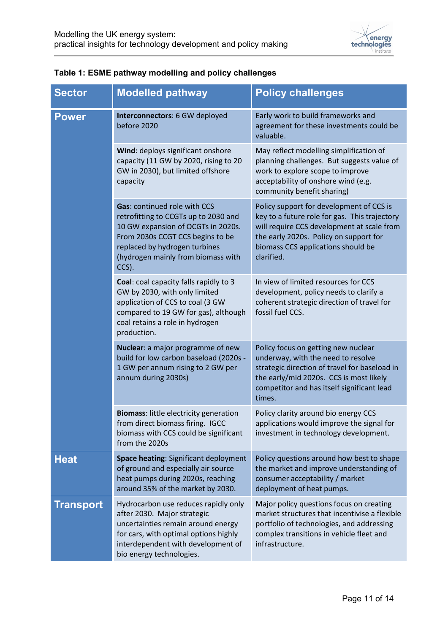

| <b>Sector</b>    | <b>Modelled pathway</b>                                                                                                                                                                                                               | <b>Policy challenges</b>                                                                                                                                                                                                              |
|------------------|---------------------------------------------------------------------------------------------------------------------------------------------------------------------------------------------------------------------------------------|---------------------------------------------------------------------------------------------------------------------------------------------------------------------------------------------------------------------------------------|
| <b>Power</b>     | Interconnectors: 6 GW deployed<br>before 2020                                                                                                                                                                                         | Early work to build frameworks and<br>agreement for these investments could be<br>valuable.                                                                                                                                           |
|                  | Wind: deploys significant onshore<br>capacity (11 GW by 2020, rising to 20<br>GW in 2030), but limited offshore<br>capacity                                                                                                           | May reflect modelling simplification of<br>planning challenges. But suggests value of<br>work to explore scope to improve<br>acceptability of onshore wind (e.g.<br>community benefit sharing)                                        |
|                  | <b>Gas: continued role with CCS</b><br>retrofitting to CCGTs up to 2030 and<br>10 GW expansion of OCGTs in 2020s.<br>From 2030s CCGT CCS begins to be<br>replaced by hydrogen turbines<br>(hydrogen mainly from biomass with<br>CCS). | Policy support for development of CCS is<br>key to a future role for gas. This trajectory<br>will require CCS development at scale from<br>the early 2020s. Policy on support for<br>biomass CCS applications should be<br>clarified. |
|                  | Coal: coal capacity falls rapidly to 3<br>GW by 2030, with only limited<br>application of CCS to coal (3 GW<br>compared to 19 GW for gas), although<br>coal retains a role in hydrogen<br>production.                                 | In view of limited resources for CCS<br>development, policy needs to clarify a<br>coherent strategic direction of travel for<br>fossil fuel CCS.                                                                                      |
|                  | Nuclear: a major programme of new<br>build for low carbon baseload (2020s -<br>1 GW per annum rising to 2 GW per<br>annum during 2030s)                                                                                               | Policy focus on getting new nuclear<br>underway, with the need to resolve<br>strategic direction of travel for baseload in<br>the early/mid 2020s. CCS is most likely<br>competitor and has itself significant lead<br>times.         |
|                  | <b>Biomass: little electricity generation</b><br>from direct biomass firing. IGCC<br>biomass with CCS could be significant<br>from the 2020s                                                                                          | Policy clarity around bio energy CCS<br>applications would improve the signal for<br>investment in technology development.                                                                                                            |
| <b>Heat</b>      | Space heating: Significant deployment<br>of ground and especially air source<br>heat pumps during 2020s, reaching<br>around 35% of the market by 2030.                                                                                | Policy questions around how best to shape<br>the market and improve understanding of<br>consumer acceptability / market<br>deployment of heat pumps.                                                                                  |
| <b>Transport</b> | Hydrocarbon use reduces rapidly only<br>after 2030. Major strategic<br>uncertainties remain around energy<br>for cars, with optimal options highly<br>interdependent with development of<br>bio energy technologies.                  | Major policy questions focus on creating<br>market structures that incentivise a flexible<br>portfolio of technologies, and addressing<br>complex transitions in vehicle fleet and<br>infrastructure.                                 |

### **Table 1: ESME pathway modelling and policy challenges**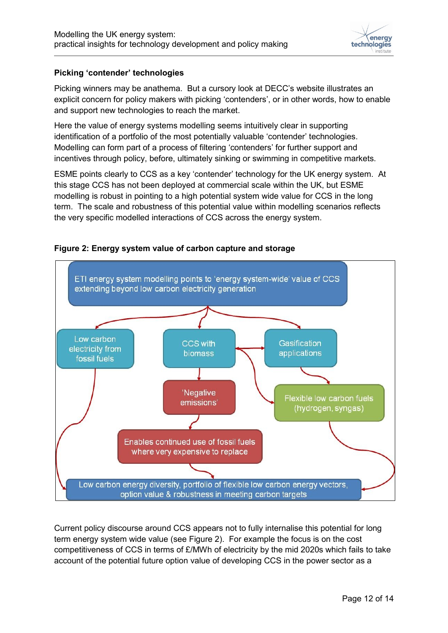

#### **Picking 'contender' technologies**

Picking winners may be anathema. But a cursory look at DECC's website illustrates an explicit concern for policy makers with picking 'contenders', or in other words, how to enable and support new technologies to reach the market.

Here the value of energy systems modelling seems intuitively clear in supporting identification of a portfolio of the most potentially valuable 'contender' technologies. Modelling can form part of a process of filtering 'contenders' for further support and incentives through policy, before, ultimately sinking or swimming in competitive markets.

ESME points clearly to CCS as a key 'contender' technology for the UK energy system. At this stage CCS has not been deployed at commercial scale within the UK, but ESME modelling is robust in pointing to a high potential system wide value for CCS in the long term. The scale and robustness of this potential value within modelling scenarios reflects the very specific modelled interactions of CCS across the energy system.



#### **Figure 2: Energy system value of carbon capture and storage**

Current policy discourse around CCS appears not to fully internalise this potential for long term energy system wide value (see Figure 2). For example the focus is on the cost competitiveness of CCS in terms of £/MWh of electricity by the mid 2020s which fails to take account of the potential future option value of developing CCS in the power sector as a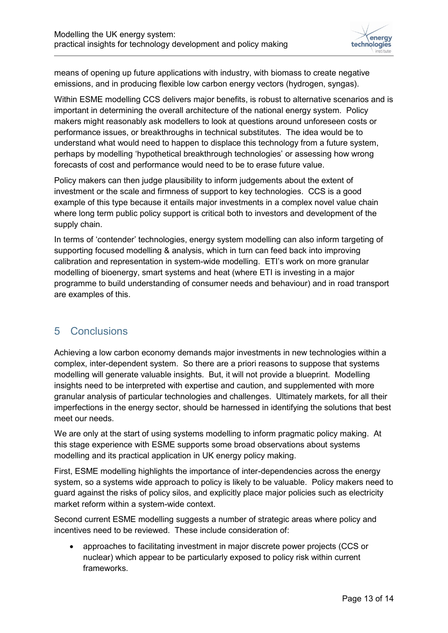

means of opening up future applications with industry, with biomass to create negative emissions, and in producing flexible low carbon energy vectors (hydrogen, syngas).

Within ESME modelling CCS delivers major benefits, is robust to alternative scenarios and is important in determining the overall architecture of the national energy system. Policy makers might reasonably ask modellers to look at questions around unforeseen costs or performance issues, or breakthroughs in technical substitutes. The idea would be to understand what would need to happen to displace this technology from a future system, perhaps by modelling 'hypothetical breakthrough technologies' or assessing how wrong forecasts of cost and performance would need to be to erase future value.

Policy makers can then judge plausibility to inform judgements about the extent of investment or the scale and firmness of support to key technologies. CCS is a good example of this type because it entails major investments in a complex novel value chain where long term public policy support is critical both to investors and development of the supply chain.

In terms of 'contender' technologies, energy system modelling can also inform targeting of supporting focused modelling & analysis, which in turn can feed back into improving calibration and representation in system-wide modelling. ETI's work on more granular modelling of bioenergy, smart systems and heat (where ETI is investing in a major programme to build understanding of consumer needs and behaviour) and in road transport are examples of this.

## 5 Conclusions

Achieving a low carbon economy demands major investments in new technologies within a complex, inter-dependent system. So there are a priori reasons to suppose that systems modelling will generate valuable insights. But, it will not provide a blueprint. Modelling insights need to be interpreted with expertise and caution, and supplemented with more granular analysis of particular technologies and challenges. Ultimately markets, for all their imperfections in the energy sector, should be harnessed in identifying the solutions that best meet our needs.

We are only at the start of using systems modelling to inform pragmatic policy making. At this stage experience with ESME supports some broad observations about systems modelling and its practical application in UK energy policy making.

First, ESME modelling highlights the importance of inter-dependencies across the energy system, so a systems wide approach to policy is likely to be valuable. Policy makers need to guard against the risks of policy silos, and explicitly place major policies such as electricity market reform within a system-wide context.

Second current ESME modelling suggests a number of strategic areas where policy and incentives need to be reviewed. These include consideration of:

 approaches to facilitating investment in major discrete power projects (CCS or nuclear) which appear to be particularly exposed to policy risk within current frameworks.